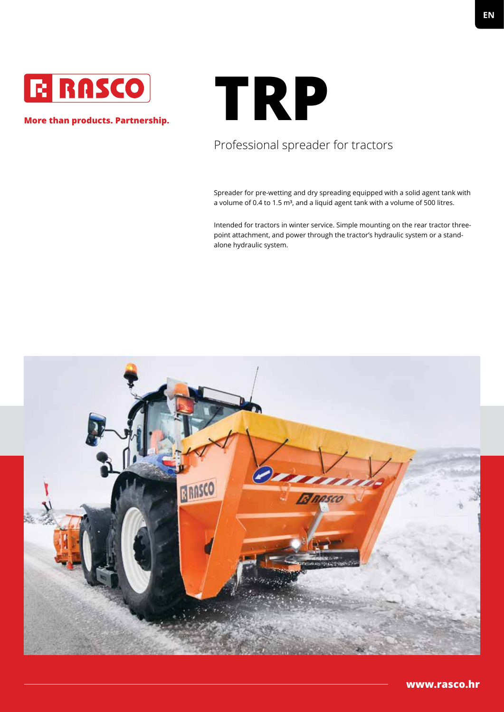

#### **More than products. Partnership.**

# **TRP**

## Professional spreader for tractors

Spreader for pre-wetting and dry spreading equipped with a solid agent tank with a volume of 0.4 to 1.5 m<sup>3</sup>, and a liquid agent tank with a volume of 500 litres.

Intended for tractors in winter service. Simple mounting on the rear tractor threepoint attachment, and power through the tractor's hydraulic system or a standalone hydraulic system.

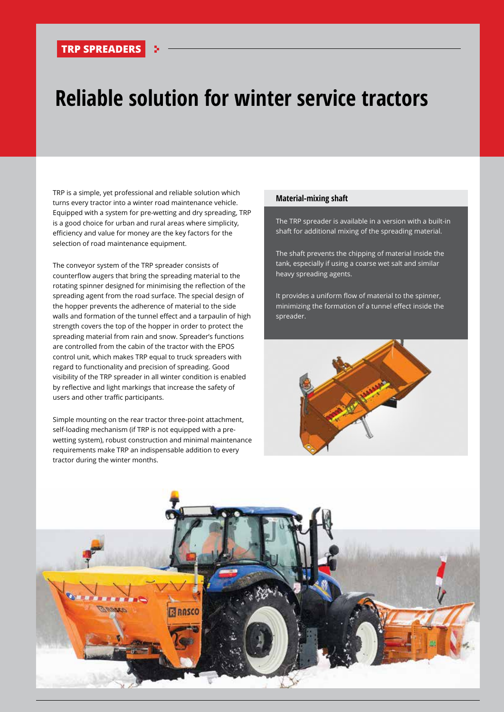#### **TRP SPREADERS**

## **Reliable solution for winter service tractors**

TRP is a simple, yet professional and reliable solution which turns every tractor into a winter road maintenance vehicle. Equipped with a system for pre-wetting and dry spreading, TRP is a good choice for urban and rural areas where simplicity, efficiency and value for money are the key factors for the selection of road maintenance equipment.

The conveyor system of the TRP spreader consists of counterflow augers that bring the spreading material to the rotating spinner designed for minimising the reflection of the spreading agent from the road surface. The special design of the hopper prevents the adherence of material to the side walls and formation of the tunnel effect and a tarpaulin of high strength covers the top of the hopper in order to protect the spreading material from rain and snow. Spreader's functions are controlled from the cabin of the tractor with the EPOS control unit, which makes TRP equal to truck spreaders with regard to functionality and precision of spreading. Good visibility of the TRP spreader in all winter condition is enabled by reflective and light markings that increase the safety of users and other traffic participants.

Simple mounting on the rear tractor three-point attachment, self-loading mechanism (if TRP is not equipped with a prewetting system), robust construction and minimal maintenance requirements make TRP an indispensable addition to every tractor during the winter months.

#### **Material-mixing shaft**

The TRP spreader is available in a version with a built-in shaft for additional mixing of the spreading material.

The shaft prevents the chipping of material inside the tank, especially if using a coarse wet salt and similar heavy spreading agents.

It provides a uniform flow of material to the spinner, minimizing the formation of a tunnel effect inside the spreader.



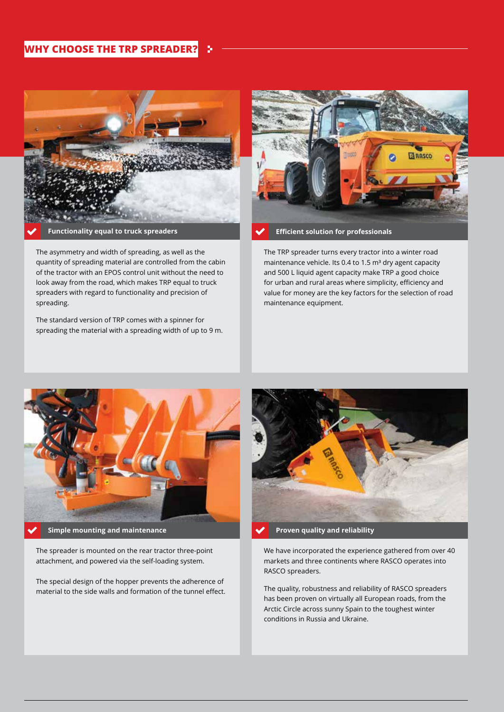#### **WHY CHOOSE THE TRP SPREADER?**



The asymmetry and width of spreading, as well as the quantity of spreading material are controlled from the cabin of the tractor with an EPOS control unit without the need to look away from the road, which makes TRP equal to truck spreaders with regard to functionality and precision of spreading.

The standard version of TRP comes with a spinner for spreading the material with a spreading width of up to 9 m.



The TRP spreader turns every tractor into a winter road maintenance vehicle. Its 0.4 to 1.5 m<sup>3</sup> dry agent capacity and 500 L liquid agent capacity make TRP a good choice for urban and rural areas where simplicity, efficiency and value for money are the key factors for the selection of road maintenance equipment.



**Simple mounting and maintenance** 

The spreader is mounted on the rear tractor three-point attachment, and powered via the self-loading system.

The special design of the hopper prevents the adherence of material to the side walls and formation of the tunnel effect.



**Proven quality and reliability** 

We have incorporated the experience gathered from over 40 markets and three continents where RASCO operates into RASCO spreaders.

The quality, robustness and reliability of RASCO spreaders has been proven on virtually all European roads, from the Arctic Circle across sunny Spain to the toughest winter conditions in Russia and Ukraine.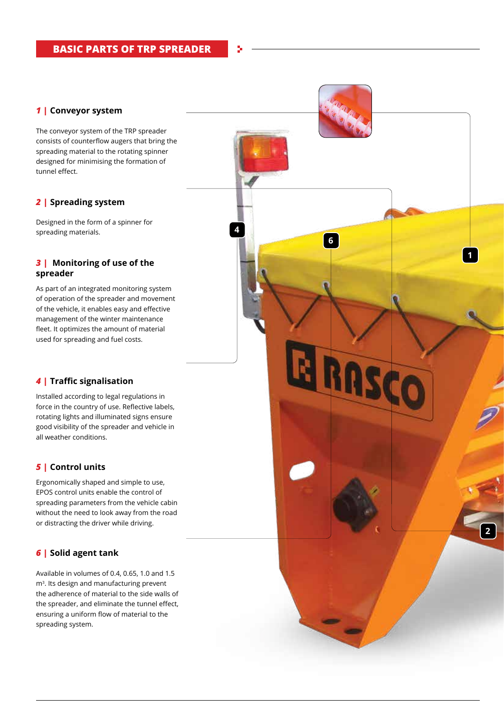#### *1 |* **Conveyor system**

The conveyor system of the TRP spreader consists of counterflow augers that bring the spreading material to the rotating spinner designed for minimising the formation of tunnel effect.

#### *2 |* **Spreading system**

Designed in the form of a spinner for spreading materials.

#### *3 |* **Monitoring of use of the spreader**

As part of an integrated monitoring system of operation of the spreader and movement of the vehicle, it enables easy and effective management of the winter maintenance fleet. It optimizes the amount of material used for spreading and fuel costs.

#### *4 |* **Traffic signalisation**

Installed according to legal regulations in force in the country of use. Reflective labels, rotating lights and illuminated signs ensure good visibility of the spreader and vehicle in all weather conditions.

#### *5 |* **Control units**

Ergonomically shaped and simple to use, EPOS control units enable the control of spreading parameters from the vehicle cabin without the need to look away from the road or distracting the driver while driving.

**2**

**1**

**6**

**4**

#### *6 |* **Solid agent tank**

Available in volumes of 0.4, 0.65, 1.0 and 1.5 m<sup>3</sup>. Its design and manufacturing prevent the adherence of material to the side walls of the spreader, and eliminate the tunnel effect, ensuring a uniform flow of material to the spreading system.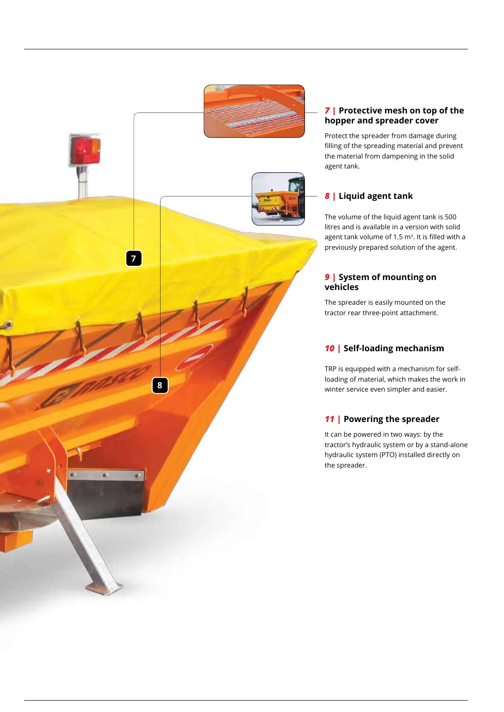

#### *7 |* **Protective mesh on top of the hopper and spreader cover**

Protect the spreader from damage during filling of the spreading material and prevent the material from dampening in the solid agent tank.

#### *8 |* **Liquid agent tank**

The volume of the liquid agent tank is 500 litres and is available in a version with solid agent tank volume of 1.5 m <sup>3</sup>. It is filled with a previously prepared solution of the agent.

#### **9** | System of mounting on **vehicles**

The spreader is easily mounted on the tractor rear three-point attachment.

#### *10 |* **Self-loading mechanism**

TRP is equipped with a mechanism for selfloading of material, which makes the work in winter service even simpler and easier.

#### *11 |* **Powering the spreader**

It can be powered in two ways: by the tractor's hydraulic system or by a stand-alone hydraulic system (PTO) installed directly on the spreader.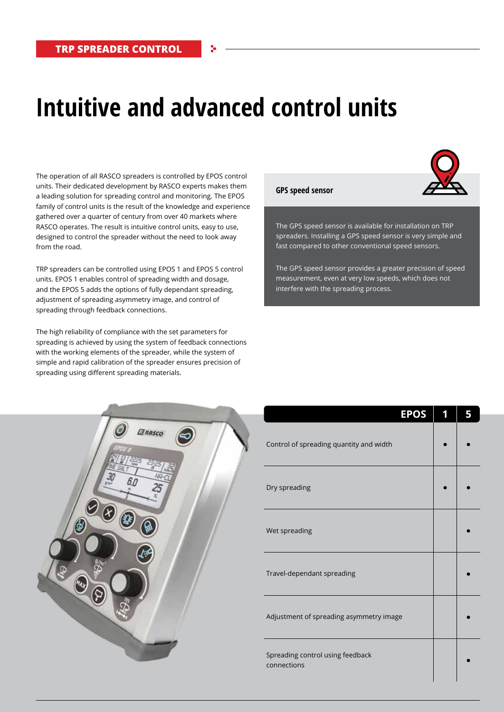## **Intuitive and advanced control units**

The operation of all RASCO spreaders is controlled by EPOS control units. Their dedicated development by RASCO experts makes them a leading solution for spreading control and monitoring. The EPOS family of control units is the result of the knowledge and experience gathered over a quarter of century from over 40 markets where RASCO operates. The result is intuitive control units, easy to use, designed to control the spreader without the need to look away from the road.

TRP spreaders can be controlled using EPOS 1 and EPOS 5 control units. EPOS 1 enables control of spreading width and dosage, and the EPOS 5 adds the options of fully dependant spreading, adjustment of spreading asymmetry image, and control of spreading through feedback connections.

The high reliability of compliance with the set parameters for spreading is achieved by using the system of feedback connections with the working elements of the spreader, while the system of simple and rapid calibration of the spreader ensures precision of spreading using different spreading materials.

## **GPS speed sensor**

The GPS speed sensor is available for installation on TRP spreaders. Installing a GPS speed sensor is very simple and fast compared to other conventional speed sensors.

The GPS speed sensor provides a greater precision of speed measurement, even at very low speeds, which does not interfere with the spreading process.



| <b>EPOS</b>                                     | 5 |
|-------------------------------------------------|---|
| Control of spreading quantity and width         |   |
| Dry spreading                                   |   |
| Wet spreading                                   |   |
| Travel-dependant spreading                      |   |
| Adjustment of spreading asymmetry image         |   |
| Spreading control using feedback<br>connections |   |

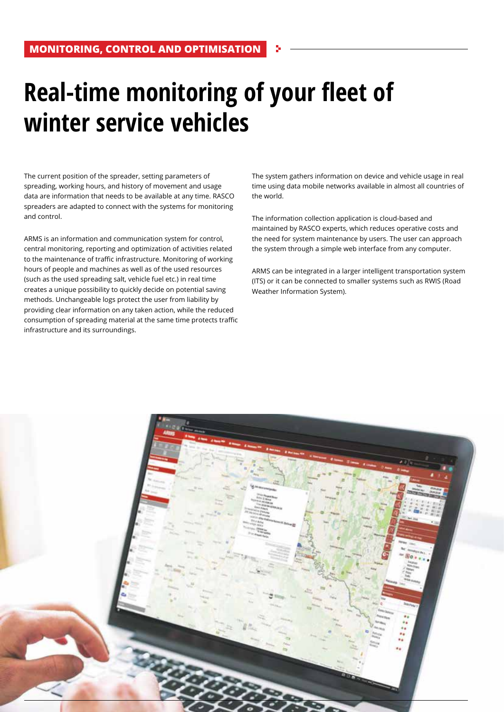# **Real-time monitoring of your fleet of winter service vehicles**

The current position of the spreader, setting parameters of spreading, working hours, and history of movement and usage data are information that needs to be available at any time. RASCO spreaders are adapted to connect with the systems for monitoring and control.

ARMS is an information and communication system for control, central monitoring, reporting and optimization of activities related to the maintenance of traffic infrastructure. Monitoring of working hours of people and machines as well as of the used resources (such as the used spreading salt, vehicle fuel etc.) in real time creates a unique possibility to quickly decide on potential saving methods. Unchangeable logs protect the user from liability by providing clear information on any taken action, while the reduced consumption of spreading material at the same time protects traffic infrastructure and its surroundings.

The system gathers information on device and vehicle usage in real time using data mobile networks available in almost all countries of the world.

The information collection application is cloud-based and maintained by RASCO experts, which reduces operative costs and the need for system maintenance by users. The user can approach the system through a simple web interface from any computer.

ARMS can be integrated in a larger intelligent transportation system (ITS) or it can be connected to smaller systems such as RWIS (Road Weather Information System).